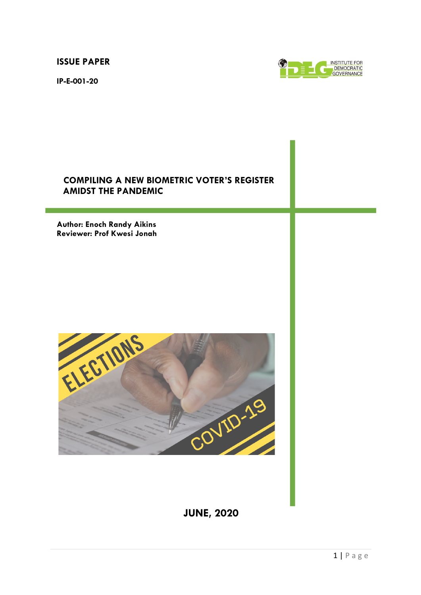**ISSUE PAPER**

**IP-E-001-20**



# **COMPILING A NEW BIOMETRIC VOTER'S REGISTER AMIDST THE PANDEMIC**

**Author: Enoch Randy Aikins Reviewer: Prof Kwesi Jonah**



**JUNE, 2020**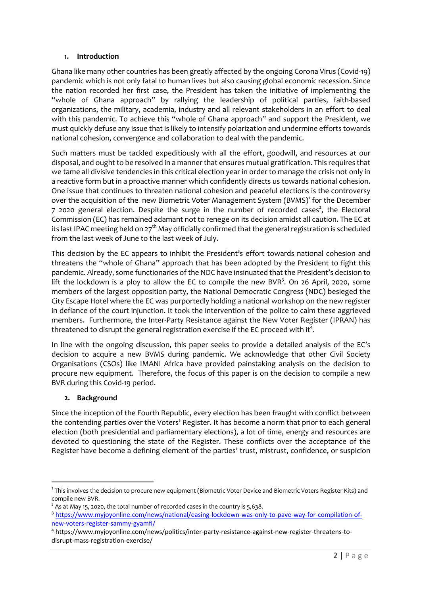#### **1. Introduction**

Ghana like many other countries has been greatly affected by the ongoing Corona Virus (Covid-19) pandemic which is not only fatal to human lives but also causing global economic recession. Since the nation recorded her first case, the President has taken the initiative of implementing the "whole of Ghana approach" by rallying the leadership of political parties, faith-based organizations, the military, academia, industry and all relevant stakeholders in an effort to deal with this pandemic. To achieve this "whole of Ghana approach" and support the President, we must quickly defuse any issue that is likely to intensify polarization and undermine efforts towards national cohesion, convergence and collaboration to deal with the pandemic.

Such matters must be tackled expeditiously with all the effort, goodwill, and resources at our disposal, and ought to be resolved in a manner that ensures mutual gratification. This requires that we tame all divisive tendencies in this critical election year in order to manage the crisis not only in a reactive form but in a proactive manner which confidently directs us towards national cohesion. One issue that continues to threaten national cohesion and peaceful elections is the controversy over the acquisition of the new Biometric Voter Management System (BVMS)<sup>1</sup> for the December 7 2020 general election. Despite the surge in the number of recorded cases<sup>2</sup>, the Electoral Commission (EC) has remained adamant not to renege on its decision amidst all caution. The EC at its last IPAC meeting held on 27<sup>th</sup> May officially confirmed that the general registration is scheduled from the last week of June to the last week of July.

This decision by the EC appears to inhibit the President's effort towards national cohesion and threatens the "whole of Ghana" approach that has been adopted by the President to fight this pandemic. Already, some functionaries of the NDC have insinuated that the President's decision to lift the lockdown is a ploy to allow the EC to compile the new BVR<sup>3</sup>. On 26 April, 2020, some members of the largest opposition party, the National Democratic Congress (NDC) besieged the City Escape Hotel where the EC was purportedly holding a national workshop on the new register in defiance of the court injunction. It took the intervention of the police to calm these aggrieved members. Furthermore, the Inter-Party Resistance against the New Voter Register (IPRAN) has threatened to disrupt the general registration exercise if the EC proceed with it $^4$ .

In line with the ongoing discussion, this paper seeks to provide a detailed analysis of the EC's decision to acquire a new BVMS during pandemic. We acknowledge that other Civil Society Organisations (CSOs) like IMANI Africa have provided painstaking analysis on the decision to procure new equipment. Therefore, the focus of this paper is on the decision to compile a new BVR during this Covid-19 period.

### **2. Background**

Since the inception of the Fourth Republic, every election has been fraught with conflict between the contending parties over the Voters' Register. It has become a norm that prior to each general election (both presidential and parliamentary elections), a lot of time, energy and resources are devoted to questioning the state of the Register. These conflicts over the acceptance of the Register have become a defining element of the parties' trust, mistrust, confidence, or suspicion

 $^{\rm 1}$  This involves the decision to procure new equipment (Biometric Voter Device and Biometric Voters Register Kits) and compile new BVR.

 $2^{2}$  As at May 15, 2020, the total number of recorded cases in the country is 5,638.

<sup>3</sup> https://www.myjoyonline.com/news/national/easing-lockdown-was-only-to-pave-way-for-compilation-ofnew-voters-register-sammy-gyamfi/

<sup>4</sup> https://www.myjoyonline.com/news/politics/inter-party-resistance-against-new-register-threatens-todisrupt-mass-registration-exercise/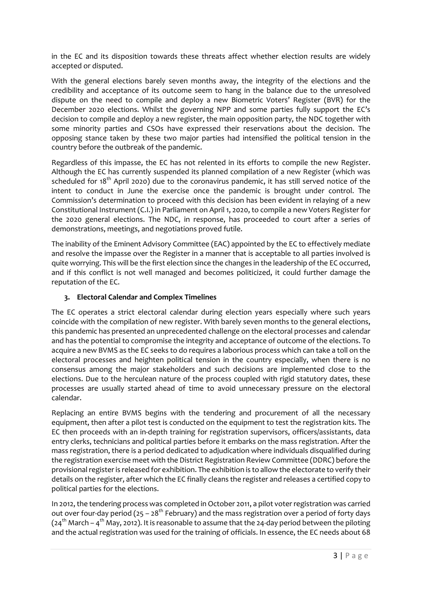in the EC and its disposition towards these threats affect whether election results are widely accepted or disputed.

With the general elections barely seven months away, the integrity of the elections and the credibility and acceptance of its outcome seem to hang in the balance due to the unresolved dispute on the need to compile and deploy a new Biometric Voters' Register (BVR) for the December 2020 elections. Whilst the governing NPP and some parties fully support the EC's decision to compile and deploy a new register, the main opposition party, the NDC together with some minority parties and CSOs have expressed their reservations about the decision. The opposing stance taken by these two major parties had intensified the political tension in the country before the outbreak of the pandemic.

Regardless of this impasse, the EC has not relented in its efforts to compile the new Register. Although the EC has currently suspended its planned compilation of a new Register (which was scheduled for  $18<sup>th</sup>$  April 2020) due to the coronavirus pandemic, it has still served notice of the intent to conduct in June the exercise once the pandemic is brought under control. The Commission's determination to proceed with this decision has been evident in relaying of a new Constitutional Instrument (C.I.) in Parliament on April 1, 2020, to compile a new Voters Register for the 2020 general elections. The NDC, in response, has proceeded to court after a series of demonstrations, meetings, and negotiations proved futile.

The inability of the Eminent Advisory Committee (EAC) appointed by the EC to effectively mediate and resolve the impasse over the Register in a manner that is acceptable to all parties involved is quite worrying. This will be the first election since the changes in the leadership of the EC occurred, and if this conflict is not well managed and becomes politicized, it could further damage the reputation of the EC.

### **3. Electoral Calendar and Complex Timelines**

The EC operates a strict electoral calendar during election years especially where such years coincide with the compilation of new register. With barely seven months to the general elections, this pandemic has presented an unprecedented challenge on the electoral processes and calendar and has the potential to compromise the integrity and acceptance of outcome of the elections. To acquire a new BVMS as the EC seeks to do requires a laborious process which can take a toll on the electoral processes and heighten political tension in the country especially, when there is no consensus among the major stakeholders and such decisions are implemented close to the elections. Due to the herculean nature of the process coupled with rigid statutory dates, these processes are usually started ahead of time to avoid unnecessary pressure on the electoral calendar.

Replacing an entire BVMS begins with the tendering and procurement of all the necessary equipment, then after a pilot test is conducted on the equipment to test the registration kits. The EC then proceeds with an in-depth training for registration supervisors, officers/assistants, data entry clerks, technicians and political parties before it embarks on the mass registration. After the mass registration, there is a period dedicated to adjudication where individuals disqualified during the registration exercise meet with the District Registration Review Committee (DDRC) before the provisional register is released for exhibition. The exhibition is to allow the electorate to verify their details on the register, after which the EC finally cleans the register and releases a certified copy to political parties for the elections.

In 2012, the tendering process was completed in October 2011, a pilot voter registration was carried out over four-day period (25 – 28<sup>th</sup> February) and the mass registration over a period of forty days ( $24<sup>th</sup>$  March –  $4<sup>th</sup>$  May, 2012). It is reasonable to assume that the 24-day period between the piloting and the actual registration was used for the training of officials. In essence, the EC needs about 68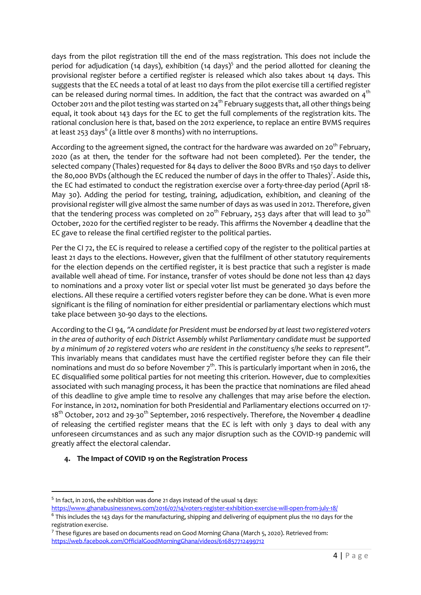days from the pilot registration till the end of the mass registration. This does not include the period for adjudication (14 days), exhibition (14 days)<sup>5</sup> and the period allotted for cleaning the provisional register before a certified register is released which also takes about 14 days. This suggests that the EC needs a total of at least 110 days from the pilot exercise till a certified register can be released during normal times. In addition, the fact that the contract was awarded on  $4<sup>th</sup>$ October 2011 and the pilot testing was started on 24<sup>th</sup> February suggests that, all other things being equal, it took about 143 days for the EC to get the full complements of the registration kits. The rational conclusion here is that, based on the 2012 experience, to replace an entire BVMS requires at least 253 days<sup>6</sup> (a little over 8 months) with no interruptions.

According to the agreement signed, the contract for the hardware was awarded on 20<sup>th</sup> February, 2020 (as at then, the tender for the software had not been completed). Per the tender, the selected company (Thales) requested for 84 days to deliver the 8000 BVRs and 150 days to deliver the 80,000 BVDs (although the EC reduced the number of days in the offer to Thales)<sup>7</sup>. Aside this, the EC had estimated to conduct the registration exercise over a forty-three-day period (April 18- May 30). Adding the period for testing, training, adjudication, exhibition, and cleaning of the provisional register will give almost the same number of days as was used in 2012. Therefore, given that the tendering process was completed on 20<sup>th</sup> February, 253 days after that will lead to 30<sup>th</sup> October, 2020 for the certified register to be ready. This affirms the November 4 deadline that the EC gave to release the final certified register to the political parties.

Per the CI 72, the EC is required to release a certified copy of the register to the political parties at least 21 days to the elections. However, given that the fulfilment of other statutory requirements for the election depends on the certified register, it is best practice that such a register is made available well ahead of time. For instance, transfer of votes should be done not less than 42 days to nominations and a proxy voter list or special voter list must be generated 30 days before the elections. All these require a certified voters register before they can be done. What is even more significant is the filing of nomination for either presidential or parliamentary elections which must take place between 30-90 days to the elections*.* 

According to the CI 94, *"A candidate for President must be endorsed by at least two registered voters in the area of authority of each District Assembly whilst Parliamentary candidate must be supported by a minimum of 20 registered voters who are resident in the constituency s/he seeks to represent".*  This invariably means that candidates must have the certified register before they can file their nominations and must do so before November  $7<sup>th</sup>$ . This is particularly important when in 2016, the EC disqualified some political parties for not meeting this criterion. However, due to complexities associated with such managing process, it has been the practice that nominations are filed ahead of this deadline to give ample time to resolve any challenges that may arise before the election. For instance, in 2012, nomination for both Presidential and Parliamentary elections occurred on 17- 18<sup>th</sup> October, 2012 and 29-30<sup>th</sup> September, 2016 respectively. Therefore, the November 4 deadline of releasing the certified register means that the EC is left with only 3 days to deal with any unforeseen circumstances and as such any major disruption such as the COVID-19 pandemic will greatly affect the electoral calendar.

### **4. The Impact of COVID 19 on the Registration Process**

<sup>&</sup>lt;sup>5</sup> In fact, in 2016, the exhibition was done 21 days instead of the usual 14 days:

https://www.ghanabusinessnews.com/2016/07/14/voters-register-exhibition-exercise-will-open-from-july-18/

 $6$  This includes the 143 days for the manufacturing, shipping and delivering of equipment plus the 110 days for the registration exercise.

 $7$  These figures are based on documents read on Good Morning Ghana (March 5, 2020). Retrieved from: https://web.facebook.com/OfficialGoodMorningGhana/videos/616857712499712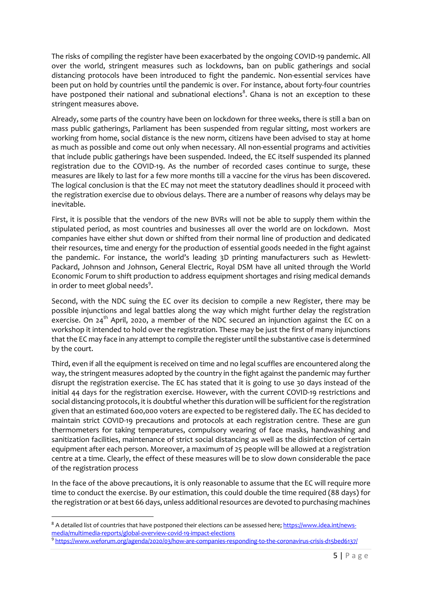The risks of compiling the register have been exacerbated by the ongoing COVID-19 pandemic. All over the world, stringent measures such as lockdowns, ban on public gatherings and social distancing protocols have been introduced to fight the pandemic. Non-essential services have been put on hold by countries until the pandemic is over. For instance, about forty-four countries have postponed their national and subnational elections ${}^{8}$ . Ghana is not an exception to these stringent measures above.

Already, some parts of the country have been on lockdown for three weeks, there is still a ban on mass public gatherings, Parliament has been suspended from regular sitting, most workers are working from home, social distance is the new norm, citizens have been advised to stay at home as much as possible and come out only when necessary. All non-essential programs and activities that include public gatherings have been suspended. Indeed, the EC itself suspended its planned registration due to the COVID-19. As the number of recorded cases continue to surge, these measures are likely to last for a few more months till a vaccine for the virus has been discovered. The logical conclusion is that the EC may not meet the statutory deadlines should it proceed with the registration exercise due to obvious delays. There are a number of reasons why delays may be inevitable.

First, it is possible that the vendors of the new BVRs will not be able to supply them within the stipulated period, as most countries and businesses all over the world are on lockdown. Most companies have either shut down or shifted from their normal line of production and dedicated their resources, time and energy for the production of essential goods needed in the fight against the pandemic. For instance, the world's leading 3D printing manufacturers such as Hewlett-Packard, Johnson and Johnson, General Electric, Royal DSM have all united through the World Economic Forum to shift production to address equipment shortages and rising medical demands in order to meet global needs<sup>9</sup>.

Second, with the NDC suing the EC over its decision to compile a new Register, there may be possible injunctions and legal battles along the way which might further delay the registration exercise. On  $24<sup>th</sup>$  April, 2020, a member of the NDC secured an injunction against the EC on a workshop it intended to hold over the registration. These may be just the first of many injunctions that the EC may face in any attempt to compile the register until the substantive case is determined by the court.

Third, even if all the equipment is received on time and no legal scuffles are encountered along the way, the stringent measures adopted by the country in the fight against the pandemic may further disrupt the registration exercise. The EC has stated that it is going to use 30 days instead of the initial 44 days for the registration exercise. However, with the current COVID-19 restrictions and social distancing protocols, it is doubtful whether this duration will be sufficient for the registration given that an estimated 600,000 voters are expected to be registered daily. The EC has decided to maintain strict COVID-19 precautions and protocols at each registration centre. These are gun thermometers for taking temperatures, compulsory wearing of face masks, handwashing and sanitization facilities, maintenance of strict social distancing as well as the disinfection of certain equipment after each person. Moreover, a maximum of 25 people will be allowed at a registration centre at a time. Clearly, the effect of these measures will be to slow down considerable the pace of the registration process

In the face of the above precautions, it is only reasonable to assume that the EC will require more time to conduct the exercise. By our estimation, this could double the time required (88 days) for the registration or at best 66 days, unless additional resources are devoted to purchasing machines

<sup>&</sup>lt;sup>8</sup> A detailed list of countries that have postponed their elections can be assessed here; https://www.idea.int/newsmedia/multimedia-reports/global-overview-covid-19-impact-elections<br>9 https://www.weforum.org/agenda/2020/03/how-are-companies-responding-to-the-coronavirus-crisis-d15bed6137/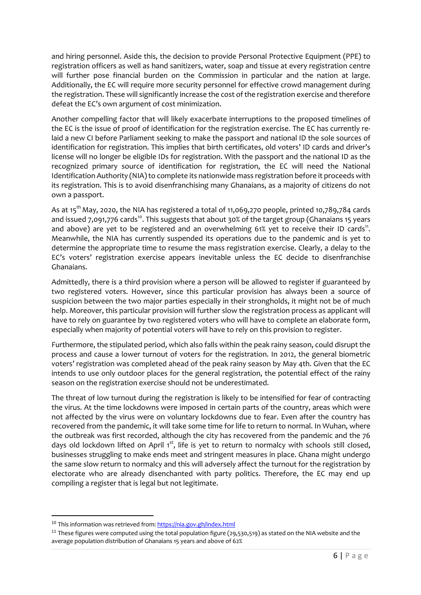and hiring personnel. Aside this, the decision to provide Personal Protective Equipment (PPE) to registration officers as well as hand sanitizers, water, soap and tissue at every registration centre will further pose financial burden on the Commission in particular and the nation at large. Additionally, the EC will require more security personnel for effective crowd management during the registration. These will significantly increase the cost of the registration exercise and therefore defeat the EC's own argument of cost minimization.

Another compelling factor that will likely exacerbate interruptions to the proposed timelines of the EC is the issue of proof of identification for the registration exercise. The EC has currently relaid a new CI before Parliament seeking to make the passport and national ID the sole sources of identification for registration. This implies that birth certificates, old voters' ID cards and driver's license will no longer be eligible IDs for registration. With the passport and the national ID as the recognized primary source of identification for registration, the EC will need the National Identification Authority (NIA) to complete its nationwide mass registration before it proceeds with its registration. This is to avoid disenfranchising many Ghanaians, as a majority of citizens do not own a passport.

As at 15<sup>th</sup> May, 2020, the NIA has registered a total of 11,069,270 people, printed 10,789,784 cards and issued 7,091,776 cards<sup>10</sup>. This suggests that about 30% of the target group (Ghanaians 15 years and above) are yet to be registered and an overwhelming  $61\%$  yet to receive their ID cards<sup>11</sup>. Meanwhile, the NIA has currently suspended its operations due to the pandemic and is yet to determine the appropriate time to resume the mass registration exercise. Clearly, a delay to the EC's voters' registration exercise appears inevitable unless the EC decide to disenfranchise Ghanaians.

Admittedly, there is a third provision where a person will be allowed to register if guaranteed by two registered voters. However, since this particular provision has always been a source of suspicion between the two major parties especially in their strongholds, it might not be of much help. Moreover, this particular provision will further slow the registration process as applicant will have to rely on guarantee by two registered voters who will have to complete an elaborate form, especially when majority of potential voters will have to rely on this provision to register.

Furthermore, the stipulated period, which also falls within the peak rainy season, could disrupt the process and cause a lower turnout of voters for the registration. In 2012, the general biometric voters' registration was completed ahead of the peak rainy season by May 4th. Given that the EC intends to use only outdoor places for the general registration, the potential effect of the rainy season on the registration exercise should not be underestimated.

The threat of low turnout during the registration is likely to be intensified for fear of contracting the virus. At the time lockdowns were imposed in certain parts of the country, areas which were not affected by the virus were on voluntary lockdowns due to fear. Even after the country has recovered from the pandemic, it will take some time for life to return to normal. In Wuhan, where the outbreak was first recorded, although the city has recovered from the pandemic and the 76 days old lockdown lifted on April 1<sup>st</sup>, life is yet to return to normalcy with schools still closed, businesses struggling to make ends meet and stringent measures in place. Ghana might undergo the same slow return to normalcy and this will adversely affect the turnout for the registration by electorate who are already disenchanted with party politics. Therefore, the EC may end up compiling a register that is legal but not legitimate.

<sup>&</sup>lt;sup>10</sup> This information was retrieved from: https://nia.gov.gh/index.html

 $11$  These figures were computed using the total population figure (29,530,519) as stated on the NIA website and the average population distribution of Ghanaians 15 years and above of 62%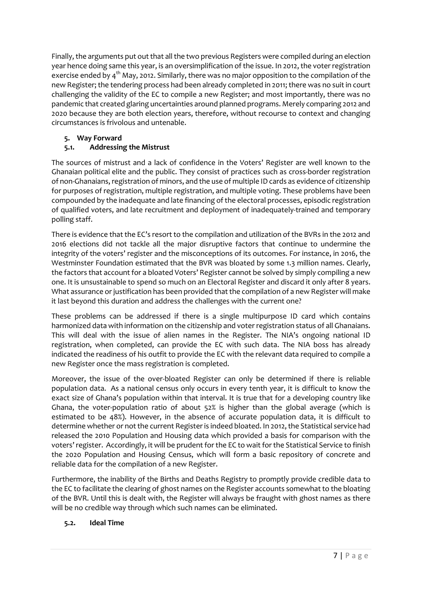Finally, the arguments put out that all the two previous Registers were compiled during an election year hence doing same this year, is an oversimplification of the issue. In 2012, the voter registration exercise ended by 4<sup>th</sup> May, 2012. Similarly, there was no major opposition to the compilation of the new Register; the tendering process had been already completed in 2011; there was no suit in court challenging the validity of the EC to compile a new Register; and most importantly, there was no pandemic that created glaring uncertainties around planned programs. Merely comparing 2012 and 2020 because they are both election years, therefore, without recourse to context and changing circumstances is frivolous and untenable.

### **5. Way Forward**

## **5.1. Addressing the Mistrust**

The sources of mistrust and a lack of confidence in the Voters' Register are well known to the Ghanaian political elite and the public. They consist of practices such as cross-border registration of non-Ghanaians, registration of minors, and the use of multiple ID cards as evidence of citizenship for purposes of registration, multiple registration, and multiple voting. These problems have been compounded by the inadequate and late financing of the electoral processes, episodic registration of qualified voters, and late recruitment and deployment of inadequately-trained and temporary polling staff.

There is evidence that the EC's resort to the compilation and utilization of the BVRs in the 2012 and 2016 elections did not tackle all the major disruptive factors that continue to undermine the integrity of the voters' register and the misconceptions of its outcomes. For instance, in 2016, the Westminster Foundation estimated that the BVR was bloated by some 1.3 million names. Clearly, the factors that account for a bloated Voters' Register cannot be solved by simply compiling a new one. It is unsustainable to spend so much on an Electoral Register and discard it only after 8 years. What assurance or justification has been provided that the compilation of a new Register will make it last beyond this duration and address the challenges with the current one?

These problems can be addressed if there is a single multipurpose ID card which contains harmonized data with information on the citizenship and voter registration status of all Ghanaians. This will deal with the issue of alien names in the Register. The NIA's ongoing national ID registration, when completed, can provide the EC with such data. The NIA boss has already indicated the readiness of his outfit to provide the EC with the relevant data required to compile a new Register once the mass registration is completed.

Moreover, the issue of the over-bloated Register can only be determined if there is reliable population data. As a national census only occurs in every tenth year, it is difficult to know the exact size of Ghana's population within that interval. It is true that for a developing country like Ghana, the voter-population ratio of about 52% is higher than the global average (which is estimated to be 48%). However, in the absence of accurate population data, it is difficult to determine whether or not the current Register is indeed bloated. In 2012, the Statistical service had released the 2010 Population and Housing data which provided a basis for comparison with the voters' register. Accordingly, it will be prudent for the EC to wait for the Statistical Service to finish the 2020 Population and Housing Census, which will form a basic repository of concrete and reliable data for the compilation of a new Register.

Furthermore, the inability of the Births and Deaths Registry to promptly provide credible data to the EC to facilitate the clearing of ghost names on the Register accounts somewhat to the bloating of the BVR. Until this is dealt with, the Register will always be fraught with ghost names as there will be no credible way through which such names can be eliminated.

### **5.2. Ideal Time**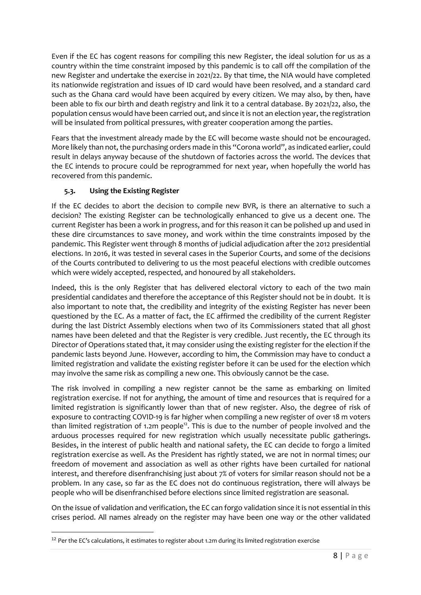Even if the EC has cogent reasons for compiling this new Register, the ideal solution for us as a country within the time constraint imposed by this pandemic is to call off the compilation of the new Register and undertake the exercise in 2021/22. By that time, the NIA would have completed its nationwide registration and issues of ID card would have been resolved, and a standard card such as the Ghana card would have been acquired by every citizen. We may also, by then, have been able to fix our birth and death registry and link it to a central database. By 2021/22, also, the population census would have been carried out, and since it is not an election year, the registration will be insulated from political pressures, with greater cooperation among the parties.

Fears that the investment already made by the EC will become waste should not be encouraged. More likely than not, the purchasing orders made in this "Corona world", as indicated earlier, could result in delays anyway because of the shutdown of factories across the world. The devices that the EC intends to procure could be reprogrammed for next year, when hopefully the world has recovered from this pandemic.

### **5.3. Using the Existing Register**

If the EC decides to abort the decision to compile new BVR, is there an alternative to such a decision? The existing Register can be technologically enhanced to give us a decent one. The current Register has been a work in progress, and for this reason it can be polished up and used in these dire circumstances to save money, and work within the time constraints imposed by the pandemic. This Register went through 8 months of judicial adjudication after the 2012 presidential elections. In 2016, it was tested in several cases in the Superior Courts, and some of the decisions of the Courts contributed to delivering to us the most peaceful elections with credible outcomes which were widely accepted, respected, and honoured by all stakeholders.

Indeed, this is the only Register that has delivered electoral victory to each of the two main presidential candidates and therefore the acceptance of this Register should not be in doubt. It is also important to note that, the credibility and integrity of the existing Register has never been questioned by the EC. As a matter of fact, the EC affirmed the credibility of the current Register during the last District Assembly elections when two of its Commissioners stated that all ghost names have been deleted and that the Register is very credible. Just recently, the EC through its Director of Operations stated that, it may consider using the existing register for the election if the pandemic lasts beyond June. However, according to him, the Commission may have to conduct a limited registration and validate the existing register before it can be used for the election which may involve the same risk as compiling a new one. This obviously cannot be the case.

The risk involved in compiling a new register cannot be the same as embarking on limited registration exercise. If not for anything, the amount of time and resources that is required for a limited registration is significantly lower than that of new register. Also, the degree of risk of exposure to contracting COVID-19 is far higher when compiling a new register of over 18 m voters than limited registration of 1.2m people<sup>12</sup>. This is due to the number of people involved and the arduous processes required for new registration which usually necessitate public gatherings. Besides, in the interest of public health and national safety, the EC can decide to forgo a limited registration exercise as well. As the President has rightly stated, we are not in normal times; our freedom of movement and association as well as other rights have been curtailed for national interest, and therefore disenfranchising just about 7% of voters for similar reason should not be a problem. In any case, so far as the EC does not do continuous registration, there will always be people who will be disenfranchised before elections since limited registration are seasonal.

On the issue of validation and verification, the EC can forgo validation since it is not essential in this crises period. All names already on the register may have been one way or the other validated

 $12$  Per the EC's calculations, it estimates to register about 1.2m during its limited registration exercise